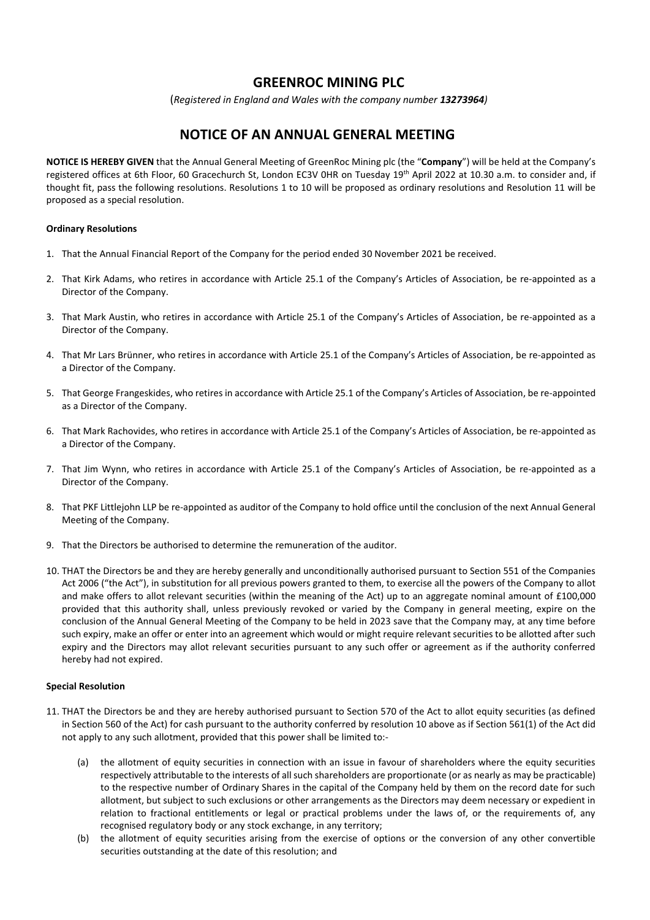## **GREENROC MINING PLC**

(*Registered in England and Wales with the company number 13273964)*

## **NOTICE OF AN ANNUAL GENERAL MEETING**

**NOTICE IS HEREBY GIVEN** that the Annual General Meeting of GreenRoc Mining plc (the "**Company**") will be held at the Company's registered offices at 6th Floor, 60 Gracechurch St, London EC3V OHR on Tuesday 19<sup>th</sup> April 2022 at 10.30 a.m. to consider and, if thought fit, pass the following resolutions. Resolutions 1 to 10 will be proposed as ordinary resolutions and Resolution 11 will be proposed as a special resolution.

#### **Ordinary Resolutions**

- 1. That the Annual Financial Report of the Company for the period ended 30 November 2021 be received.
- 2. That Kirk Adams, who retires in accordance with Article 25.1 of the Company's Articles of Association, be re-appointed as a Director of the Company.
- 3. That Mark Austin, who retires in accordance with Article 25.1 of the Company's Articles of Association, be re-appointed as a Director of the Company.
- 4. That Mr Lars Brünner, who retires in accordance with Article 25.1 of the Company's Articles of Association, be re-appointed as a Director of the Company.
- 5. That George Frangeskides, who retires in accordance with Article 25.1 of the Company's Articles of Association, be re-appointed as a Director of the Company.
- 6. That Mark Rachovides, who retires in accordance with Article 25.1 of the Company's Articles of Association, be re-appointed as a Director of the Company.
- 7. That Jim Wynn, who retires in accordance with Article 25.1 of the Company's Articles of Association, be re-appointed as a Director of the Company.
- 8. That PKF Littlejohn LLP be re-appointed as auditor of the Company to hold office until the conclusion of the next Annual General Meeting of the Company.
- 9. That the Directors be authorised to determine the remuneration of the auditor.
- 10. THAT the Directors be and they are hereby generally and unconditionally authorised pursuant to Section 551 of the Companies Act 2006 ("the Act"), in substitution for all previous powers granted to them, to exercise all the powers of the Company to allot and make offers to allot relevant securities (within the meaning of the Act) up to an aggregate nominal amount of £100,000 provided that this authority shall, unless previously revoked or varied by the Company in general meeting, expire on the conclusion of the Annual General Meeting of the Company to be held in 2023 save that the Company may, at any time before such expiry, make an offer or enter into an agreement which would or might require relevant securities to be allotted after such expiry and the Directors may allot relevant securities pursuant to any such offer or agreement as if the authority conferred hereby had not expired.

#### **Special Resolution**

- 11. THAT the Directors be and they are hereby authorised pursuant to Section 570 of the Act to allot equity securities (as defined in Section 560 of the Act) for cash pursuant to the authority conferred by resolution 10 above as if Section 561(1) of the Act did not apply to any such allotment, provided that this power shall be limited to:-
	- (a) the allotment of equity securities in connection with an issue in favour of shareholders where the equity securities respectively attributable to the interests of all such shareholders are proportionate (or as nearly as may be practicable) to the respective number of Ordinary Shares in the capital of the Company held by them on the record date for such allotment, but subject to such exclusions or other arrangements as the Directors may deem necessary or expedient in relation to fractional entitlements or legal or practical problems under the laws of, or the requirements of, any recognised regulatory body or any stock exchange, in any territory;
	- (b) the allotment of equity securities arising from the exercise of options or the conversion of any other convertible securities outstanding at the date of this resolution; and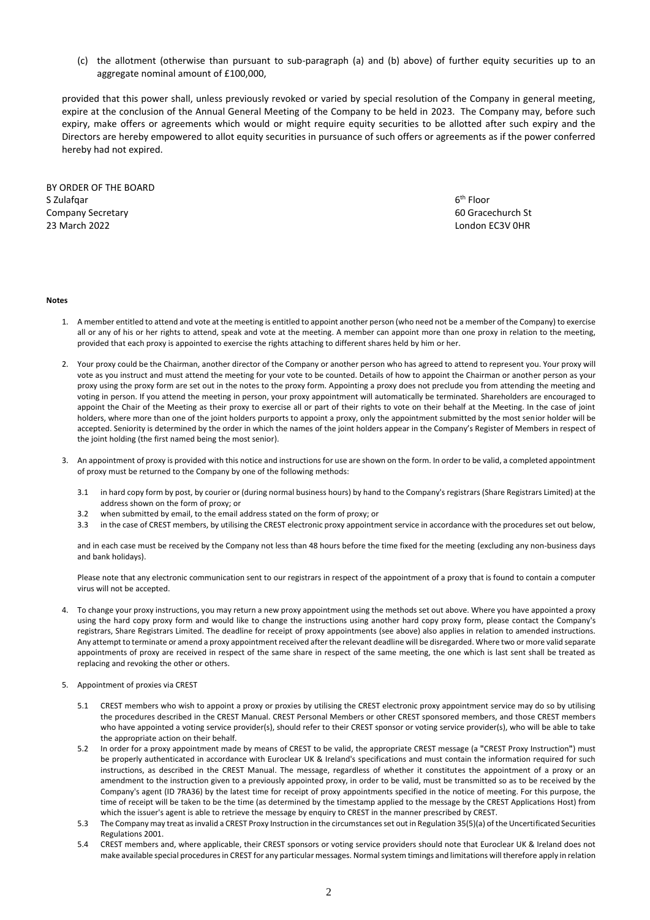(c) the allotment (otherwise than pursuant to sub-paragraph (a) and (b) above) of further equity securities up to an aggregate nominal amount of £100,000,

provided that this power shall, unless previously revoked or varied by special resolution of the Company in general meeting, expire at the conclusion of the Annual General Meeting of the Company to be held in 2023. The Company may, before such expiry, make offers or agreements which would or might require equity securities to be allotted after such expiry and the Directors are hereby empowered to allot equity securities in pursuance of such offers or agreements as if the power conferred hereby had not expired.

BY ORDER OF THE BOARD S Zulafqar 6 Company Secretary 60 Gracechurch St 23 March 2022 London EC3V 0HR

 $6<sup>th</sup>$  Floor

#### **Notes**

- 1. A member entitled to attend and vote at the meeting is entitled to appoint another person (who need not be a member of the Company) to exercise all or any of his or her rights to attend, speak and vote at the meeting. A member can appoint more than one proxy in relation to the meeting, provided that each proxy is appointed to exercise the rights attaching to different shares held by him or her.
- 2. Your proxy could be the Chairman, another director of the Company or another person who has agreed to attend to represent you. Your proxy will vote as you instruct and must attend the meeting for your vote to be counted. Details of how to appoint the Chairman or another person as your proxy using the proxy form are set out in the notes to the proxy form. Appointing a proxy does not preclude you from attending the meeting and voting in person. If you attend the meeting in person, your proxy appointment will automatically be terminated. Shareholders are encouraged to appoint the Chair of the Meeting as their proxy to exercise all or part of their rights to vote on their behalf at the Meeting. In the case of joint holders, where more than one of the joint holders purports to appoint a proxy, only the appointment submitted by the most senior holder will be accepted. Seniority is determined by the order in which the names of the joint holders appear in the Company's Register of Members in respect of the joint holding (the first named being the most senior).
- 3. An appointment of proxy is provided with this notice and instructions for use are shown on the form. In order to be valid, a completed appointment of proxy must be returned to the Company by one of the following methods:
	- 3.1 in hard copy form by post, by courier or (during normal business hours) by hand to the Company's registrars (Share Registrars Limited) at the address shown on the form of proxy; or
	- 3.2 when submitted by email, to the email address stated on the form of proxy; or
	- 3.3 in the case of CREST members, by utilising the CREST electronic proxy appointment service in accordance with the procedures set out below,

and in each case must be received by the Company not less than 48 hours before the time fixed for the meeting (excluding any non-business days and bank holidays).

Please note that any electronic communication sent to our registrars in respect of the appointment of a proxy that is found to contain a computer virus will not be accepted.

- 4. To change your proxy instructions, you may return a new proxy appointment using the methods set out above. Where you have appointed a proxy using the hard copy proxy form and would like to change the instructions using another hard copy proxy form, please contact the Company's registrars, Share Registrars Limited. The deadline for receipt of proxy appointments (see above) also applies in relation to amended instructions. Any attempt to terminate or amend a proxy appointment received after the relevant deadline will be disregarded. Where two or more valid separate appointments of proxy are received in respect of the same share in respect of the same meeting, the one which is last sent shall be treated as replacing and revoking the other or others.
- 5. Appointment of proxies via CREST
	- 5.1 CREST members who wish to appoint a proxy or proxies by utilising the CREST electronic proxy appointment service may do so by utilising the procedures described in the CREST Manual. CREST Personal Members or other CREST sponsored members, and those CREST members who have appointed a voting service provider(s), should refer to their CREST sponsor or voting service provider(s), who will be able to take the appropriate action on their behalf.
	- 5.2 In order for a proxy appointment made by means of CREST to be valid, the appropriate CREST message (a **"**CREST Proxy Instruction**"**) must be properly authenticated in accordance with Euroclear UK & Ireland's specifications and must contain the information required for such instructions, as described in the CREST Manual. The message, regardless of whether it constitutes the appointment of a proxy or an amendment to the instruction given to a previously appointed proxy, in order to be valid, must be transmitted so as to be received by the Company's agent (ID 7RA36) by the latest time for receipt of proxy appointments specified in the notice of meeting. For this purpose, the time of receipt will be taken to be the time (as determined by the timestamp applied to the message by the CREST Applications Host) from which the issuer's agent is able to retrieve the message by enquiry to CREST in the manner prescribed by CREST.
	- 5.3 The Company may treat as invalid a CREST Proxy Instruction in the circumstances set out in Regulation 35(5)(a) of the Uncertificated Securities Regulations 2001.
	- 5.4 CREST members and, where applicable, their CREST sponsors or voting service providers should note that Euroclear UK & Ireland does not make available special procedures in CREST for any particular messages. Normal system timings and limitations will therefore apply in relation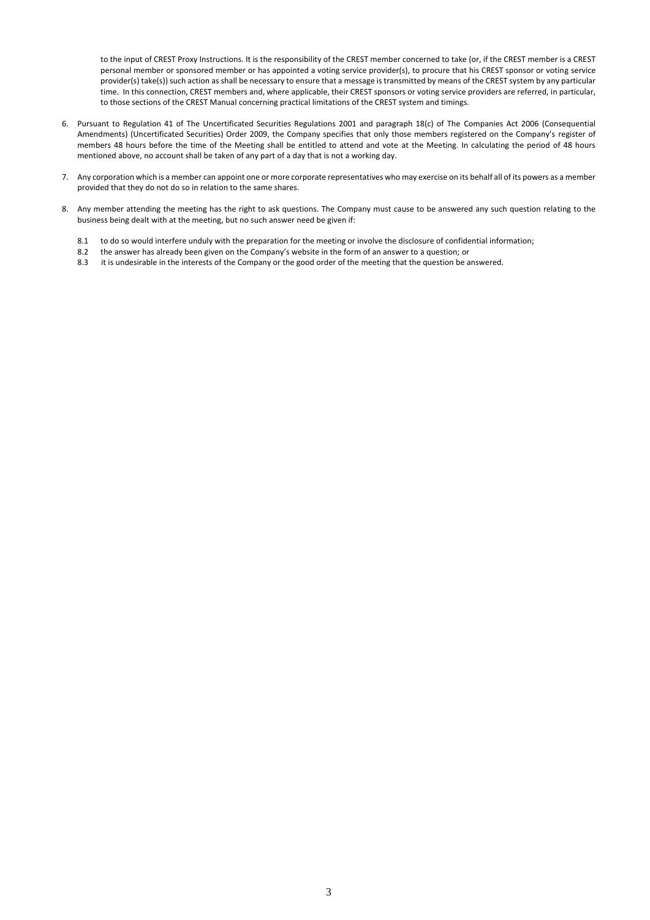to the input of CREST Proxy Instructions. It is the responsibility of the CREST member concerned to take (or, if the CREST member is a CREST personal member or sponsored member or has appointed a voting service provider(s), to procure that his CREST sponsor or voting service provider(s) take(s)) such action as shall be necessary to ensure that a message is transmitted by means of the CREST system by any particular time. In this connection, CREST members and, where applicable, their CREST sponsors or voting service providers are referred, in particular, to those sections of the CREST Manual concerning practical limitations of the CREST system and timings.

- 6. Pursuant to Regulation 41 of The Uncertificated Securities Regulations 2001 and paragraph 18(c) of The Companies Act 2006 (Consequential Amendments) (Uncertificated Securities) Order 2009, the Company specifies that only those members registered on the Company's register of members 48 hours before the time of the Meeting shall be entitled to attend and vote at the Meeting. In calculating the period of 48 hours mentioned above, no account shall be taken of any part of a day that is not a working day.
- 7. Any corporation which is a member can appoint one or more corporate representatives who may exercise on its behalf all of its powers as a member provided that they do not do so in relation to the same shares.
- 8. Any member attending the meeting has the right to ask questions. The Company must cause to be answered any such question relating to the business being dealt with at the meeting, but no such answer need be given if:
	- 8.1 to do so would interfere unduly with the preparation for the meeting or involve the disclosure of confidential information;
	- 8.2 the answer has already been given on the Company's website in the form of an answer to a question; or
	- 8.3 it is undesirable in the interests of the Company or the good order of the meeting that the question be answered.